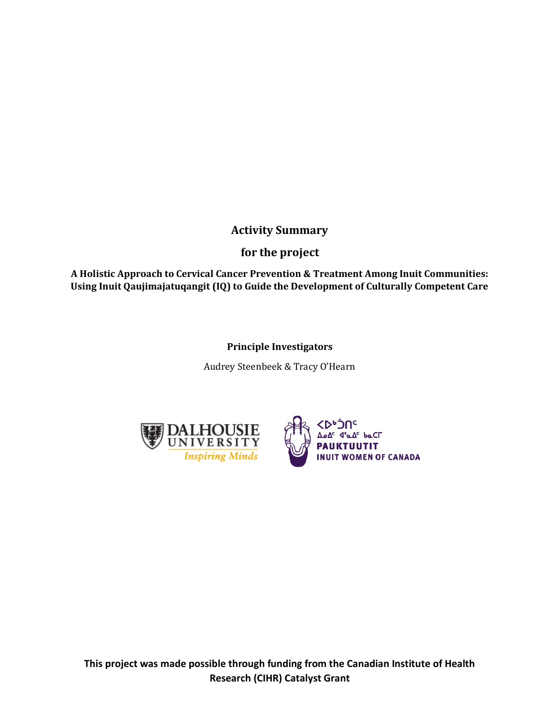### **Activity Summary**

### **for the project**

**A Holistic Approach to Cervical Cancer Prevention & Treatment Among Inuit Communities: Using Inuit Qaujimajatuqangit (IQ) to Guide the Development of Culturally Competent Care**

### **Principle Investigators**

Audrey Steenbeek & Tracy O'Hearn



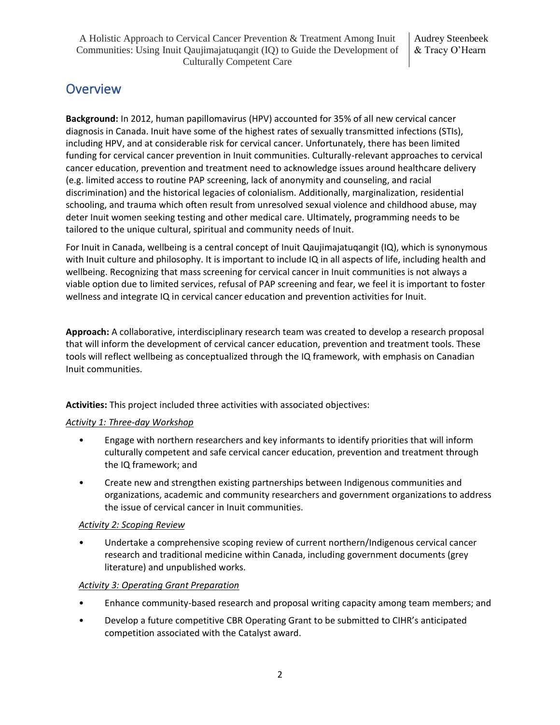## **Overview**

**Background:** In 2012, human papillomavirus (HPV) accounted for 35% of all new cervical cancer diagnosis in Canada. Inuit have some of the highest rates of sexually transmitted infections (STIs), including HPV, and at considerable risk for cervical cancer. Unfortunately, there has been limited funding for cervical cancer prevention in Inuit communities. Culturally-relevant approaches to cervical cancer education, prevention and treatment need to acknowledge issues around healthcare delivery (e.g. limited access to routine PAP screening, lack of anonymity and counseling, and racial discrimination) and the historical legacies of colonialism. Additionally, marginalization, residential schooling, and trauma which often result from unresolved sexual violence and childhood abuse, may deter Inuit women seeking testing and other medical care. Ultimately, programming needs to be tailored to the unique cultural, spiritual and community needs of Inuit.

For Inuit in Canada, wellbeing is a central concept of Inuit Qaujimajatuqangit (IQ), which is synonymous with Inuit culture and philosophy. It is important to include IQ in all aspects of life, including health and wellbeing. Recognizing that mass screening for cervical cancer in Inuit communities is not always a viable option due to limited services, refusal of PAP screening and fear, we feel it is important to foster wellness and integrate IQ in cervical cancer education and prevention activities for Inuit.

**Approach:** A collaborative, interdisciplinary research team was created to develop a research proposal that will inform the development of cervical cancer education, prevention and treatment tools. These tools will reflect wellbeing as conceptualized through the IQ framework, with emphasis on Canadian Inuit communities.

**Activities:** This project included three activities with associated objectives:

#### *Activity 1: Three-day Workshop*

- Engage with northern researchers and key informants to identify priorities that will inform culturally competent and safe cervical cancer education, prevention and treatment through the IQ framework; and
- Create new and strengthen existing partnerships between Indigenous communities and organizations, academic and community researchers and government organizations to address the issue of cervical cancer in Inuit communities.

#### *Activity 2: Scoping Review*

• Undertake a comprehensive scoping review of current northern/Indigenous cervical cancer research and traditional medicine within Canada, including government documents (grey literature) and unpublished works.

#### *Activity 3: Operating Grant Preparation*

- Enhance community-based research and proposal writing capacity among team members; and
- Develop a future competitive CBR Operating Grant to be submitted to CIHR's anticipated competition associated with the Catalyst award.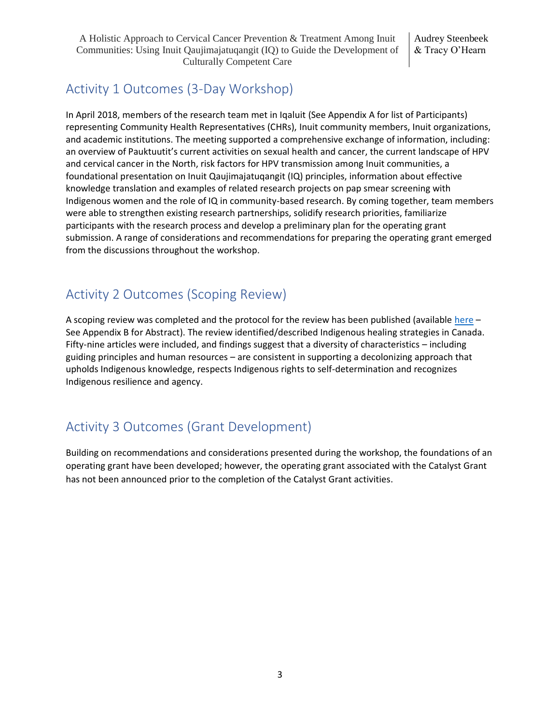## Activity 1 Outcomes (3-Day Workshop)

In April 2018, members of the research team met in Iqaluit (See Appendix A for list of Participants) representing Community Health Representatives (CHRs), Inuit community members, Inuit organizations, and academic institutions. The meeting supported a comprehensive exchange of information, including: an overview of Pauktuutit's current activities on sexual health and cancer, the current landscape of HPV and cervical cancer in the North, risk factors for HPV transmission among Inuit communities, a foundational presentation on Inuit Qaujimajatuqangit (IQ) principles, information about effective knowledge translation and examples of related research projects on pap smear screening with Indigenous women and the role of IQ in community-based research. By coming together, team members were able to strengthen existing research partnerships, solidify research priorities, familiarize participants with the research process and develop a preliminary plan for the operating grant submission. A range of considerations and recommendations for preparing the operating grant emerged from the discussions throughout the workshop.

## Activity 2 Outcomes (Scoping Review)

A scoping review was completed and the protocol for the review has been published (available [here](https://journals.lww.com/jbisrir/Fulltext/2019/09000/Characteristics_of_Indigenous_healing_strategies.14.aspx) -See Appendix B for Abstract). The review identified/described Indigenous healing strategies in Canada. Fifty-nine articles were included, and findings suggest that a diversity of characteristics – including guiding principles and human resources – are consistent in supporting a decolonizing approach that upholds Indigenous knowledge, respects Indigenous rights to self-determination and recognizes Indigenous resilience and agency.

# Activity 3 Outcomes (Grant Development)

Building on recommendations and considerations presented during the workshop, the foundations of an operating grant have been developed; however, the operating grant associated with the Catalyst Grant has not been announced prior to the completion of the Catalyst Grant activities.